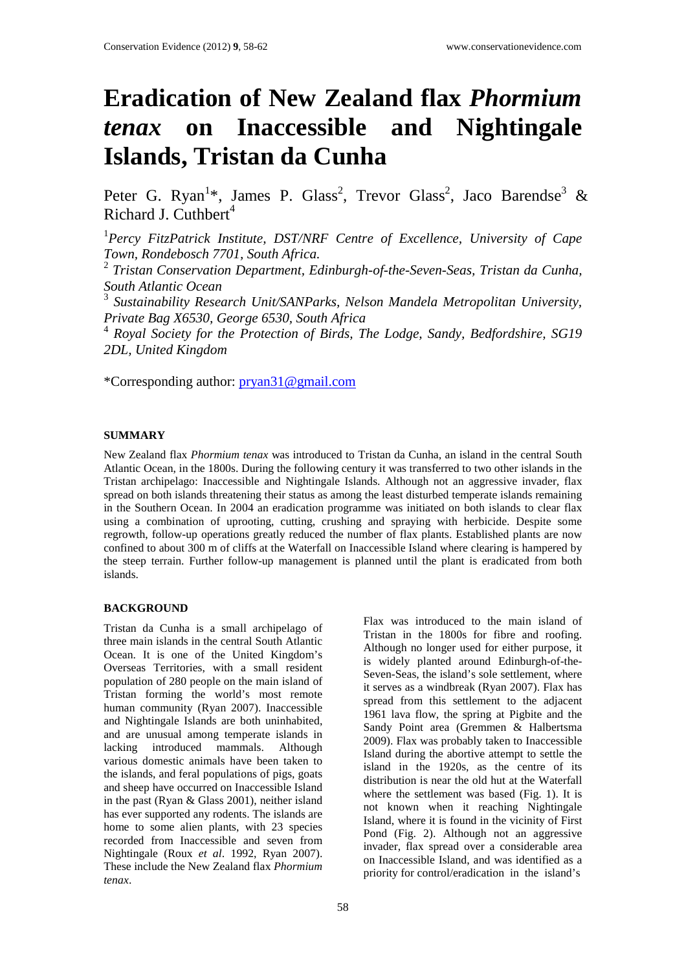# **Eradication of New Zealand flax** *Phormium tenax* **on Inaccessible and Nightingale Islands, Tristan da Cunha**

Peter G. Ryan<sup>1\*</sup>, James P. Glass<sup>2</sup>, Trevor Glass<sup>2</sup>, Jaco Barendse<sup>3</sup> & Richard J. Cuthbert<sup>4</sup>

<sup>1</sup> Percy FitzPatrick Institute, DST/NRF Centre of Excellence, University of Cape *Town, Rondebosch 7701, South Africa.* 

<sup>2</sup> *Tristan Conservation Department, Edinburgh-of-the-Seven-Seas, Tristan da Cunha, South Atlantic Ocean*

<sup>3</sup> *Sustainability Research Unit/SANParks, Nelson Mandela Metropolitan University, Private Bag X6530, George 6530, South Africa*

<sup>4</sup> *Royal Society for the Protection of Birds, The Lodge, Sandy, Bedfordshire, SG19 2DL, United Kingdom* 

\*Corresponding author: [pryan31@gmail.com](mailto:pryan31@gmail.com)

## **SUMMARY**

New Zealand flax *Phormium tenax* was introduced to Tristan da Cunha, an island in the central South Atlantic Ocean, in the 1800s. During the following century it was transferred to two other islands in the Tristan archipelago: Inaccessible and Nightingale Islands. Although not an aggressive invader, flax spread on both islands threatening their status as among the least disturbed temperate islands remaining in the Southern Ocean. In 2004 an eradication programme was initiated on both islands to clear flax using a combination of uprooting, cutting, crushing and spraying with herbicide. Despite some regrowth, follow-up operations greatly reduced the number of flax plants. Established plants are now confined to about 300 m of cliffs at the Waterfall on Inaccessible Island where clearing is hampered by the steep terrain. Further follow-up management is planned until the plant is eradicated from both islands.

## **BACKGROUND**

Tristan da Cunha is a small archipelago of three main islands in the central South Atlantic Ocean. It is one of the United Kingdom's Overseas Territories, with a small resident population of 280 people on the main island of Tristan forming the world's most remote human community (Ryan 2007). Inaccessible and Nightingale Islands are both uninhabited, and are unusual among temperate islands in lacking introduced mammals. Although various domestic animals have been taken to the islands, and feral populations of pigs, goats and sheep have occurred on Inaccessible Island in the past (Ryan & Glass 2001), neither island has ever supported any rodents. The islands are home to some alien plants, with 23 species recorded from Inaccessible and seven from Nightingale (Roux *et al*. 1992, Ryan 2007). These include the New Zealand flax *Phormium tenax*.

Flax was introduced to the main island of Tristan in the 1800s for fibre and roofing. Although no longer used for either purpose, it is widely planted around Edinburgh-of-the-Seven-Seas, the island's sole settlement, where it serves as a windbreak (Ryan 2007). Flax has spread from this settlement to the adjacent 1961 lava flow, the spring at Pigbite and the Sandy Point area (Gremmen & Halbertsma 2009). Flax was probably taken to Inaccessible Island during the abortive attempt to settle the island in the 1920s, as the centre of its distribution is near the old hut at the Waterfall where the settlement was based (Fig. 1). It is not known when it reaching Nightingale Island, where it is found in the vicinity of First Pond (Fig. 2). Although not an aggressive invader, flax spread over a considerable area on Inaccessible Island, and was identified as a priority for control/eradication in the island's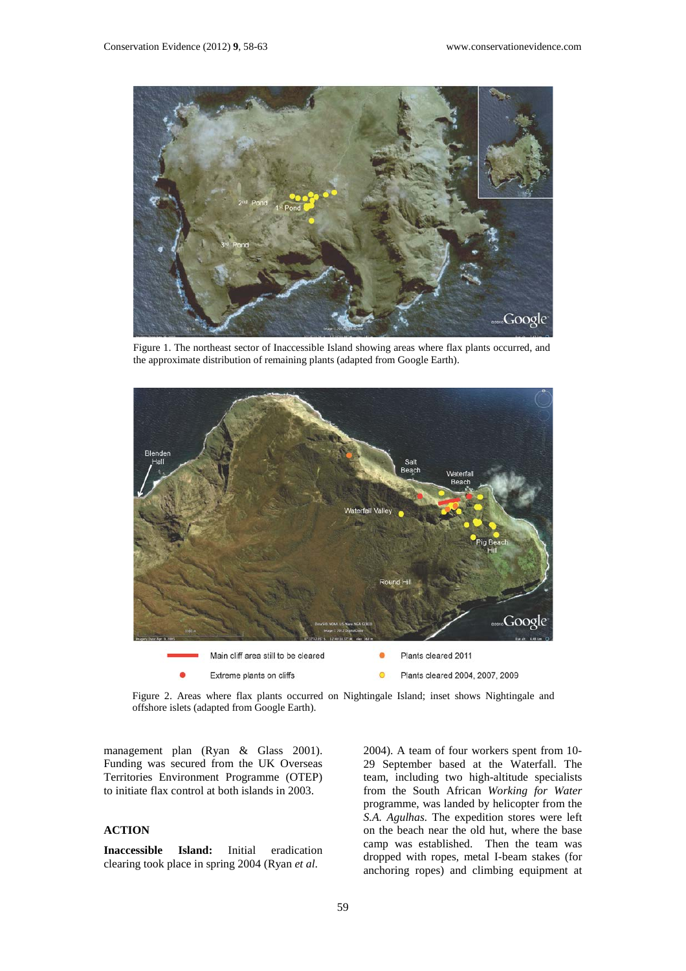

Figure 1. The northeast sector of Inaccessible Island showing areas where flax plants occurred, and the approximate distribution of remaining plants (adapted from Google Earth).



Figure 2. Areas where flax plants occurred on Nightingale Island; inset shows Nightingale and offshore islets (adapted from Google Earth).

management plan (Ryan & Glass 2001). Funding was secured from the UK Overseas Territories Environment Programme (OTEP) to initiate flax control at both islands in 2003.

## **ACTION**

**Inaccessible Island:** Initial eradication clearing took place in spring 2004 (Ryan *et al*.

2004). A team of four workers spent from 10- 29 September based at the Waterfall. The team, including two high-altitude specialists from the South African *Working for Water*  programme, was landed by helicopter from the *S.A. Agulhas.* The expedition stores were left on the beach near the old hut, where the base camp was established. Then the team was dropped with ropes, metal I-beam stakes (for anchoring ropes) and climbing equipment at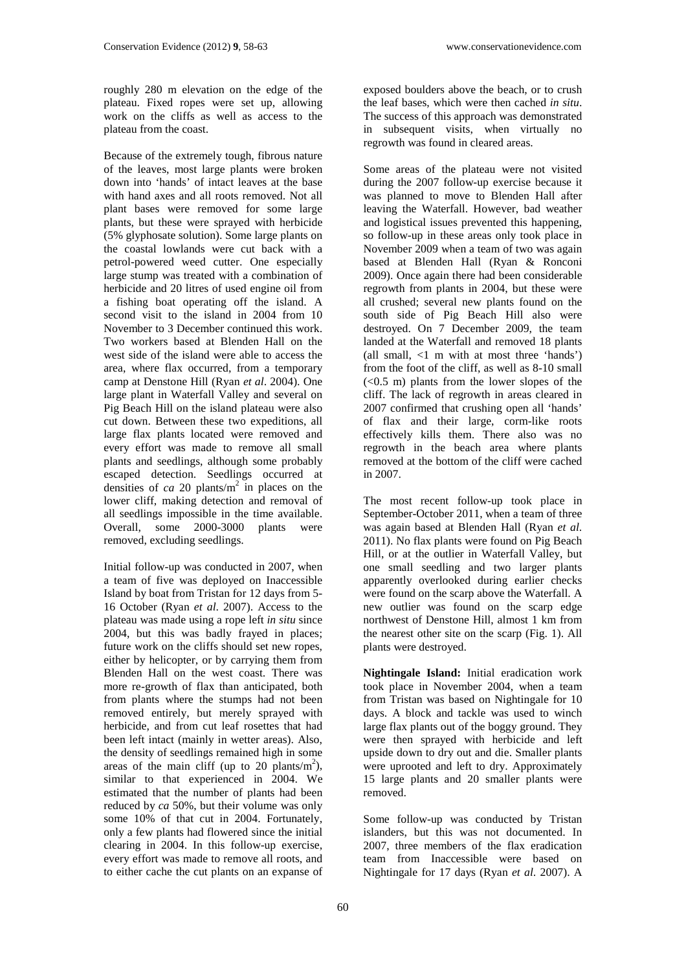roughly 280 m elevation on the edge of the plateau. Fixed ropes were set up, allowing work on the cliffs as well as access to the plateau from the coast.

Because of the extremely tough, fibrous nature of the leaves, most large plants were broken down into 'hands' of intact leaves at the base with hand axes and all roots removed. Not all plant bases were removed for some large plants, but these were sprayed with herbicide (5% glyphosate solution). Some large plants on the coastal lowlands were cut back with a petrol-powered weed cutter. One especially large stump was treated with a combination of herbicide and 20 litres of used engine oil from a fishing boat operating off the island. A second visit to the island in 2004 from 10 November to 3 December continued this work. Two workers based at Blenden Hall on the west side of the island were able to access the area, where flax occurred, from a temporary camp at Denstone Hill (Ryan *et al*. 2004). One large plant in Waterfall Valley and several on Pig Beach Hill on the island plateau were also cut down. Between these two expeditions, all large flax plants located were removed and every effort was made to remove all small plants and seedlings, although some probably escaped detection. Seedlings occurred at densities of *ca* 20 plants/m2 in places on the lower cliff, making detection and removal of all seedlings impossible in the time available. Overall, some 2000-3000 plants were removed, excluding seedlings.

Initial follow-up was conducted in 2007, when a team of five was deployed on Inaccessible Island by boat from Tristan for 12 days from 5- 16 October (Ryan *et al*. 2007). Access to the plateau was made using a rope left *in situ* since 2004, but this was badly frayed in places; future work on the cliffs should set new ropes, either by helicopter, or by carrying them from Blenden Hall on the west coast. There was more re-growth of flax than anticipated, both from plants where the stumps had not been removed entirely, but merely sprayed with herbicide, and from cut leaf rosettes that had been left intact (mainly in wetter areas). Also, the density of seedlings remained high in some areas of the main cliff (up to 20 plants/ $m^2$ ), similar to that experienced in 2004. We estimated that the number of plants had been reduced by *ca* 50%, but their volume was only some 10% of that cut in 2004. Fortunately, only a few plants had flowered since the initial clearing in 2004. In this follow-up exercise, every effort was made to remove all roots, and to either cache the cut plants on an expanse of

exposed boulders above the beach, or to crush the leaf bases, which were then cached *in situ*. The success of this approach was demonstrated in subsequent visits, when virtually no regrowth was found in cleared areas.

Some areas of the plateau were not visited during the 2007 follow-up exercise because it was planned to move to Blenden Hall after leaving the Waterfall. However, bad weather and logistical issues prevented this happening, so follow-up in these areas only took place in November 2009 when a team of two was again based at Blenden Hall (Ryan & Ronconi 2009). Once again there had been considerable regrowth from plants in 2004, but these were all crushed; several new plants found on the south side of Pig Beach Hill also were destroyed. On 7 December 2009, the team landed at the Waterfall and removed 18 plants (all small, <1 m with at most three 'hands') from the foot of the cliff, as well as 8-10 small  $( $0.5 \, \text{m}$ ) plants from the lower slopes of the$ cliff. The lack of regrowth in areas cleared in 2007 confirmed that crushing open all 'hands' of flax and their large, corm-like roots effectively kills them. There also was no regrowth in the beach area where plants removed at the bottom of the cliff were cached in 2007.

The most recent follow-up took place in September-October 2011, when a team of three was again based at Blenden Hall (Ryan *et al*. 2011). No flax plants were found on Pig Beach Hill, or at the outlier in Waterfall Valley, but one small seedling and two larger plants apparently overlooked during earlier checks were found on the scarp above the Waterfall. A new outlier was found on the scarp edge northwest of Denstone Hill, almost 1 km from the nearest other site on the scarp (Fig. 1). All plants were destroyed.

**Nightingale Island:** Initial eradication work took place in November 2004, when a team from Tristan was based on Nightingale for 10 days. A block and tackle was used to winch large flax plants out of the boggy ground. They were then sprayed with herbicide and left upside down to dry out and die. Smaller plants were uprooted and left to dry. Approximately 15 large plants and 20 smaller plants were removed.

Some follow-up was conducted by Tristan islanders, but this was not documented. In 2007, three members of the flax eradication team from Inaccessible were based on Nightingale for 17 days (Ryan *et al*. 2007). A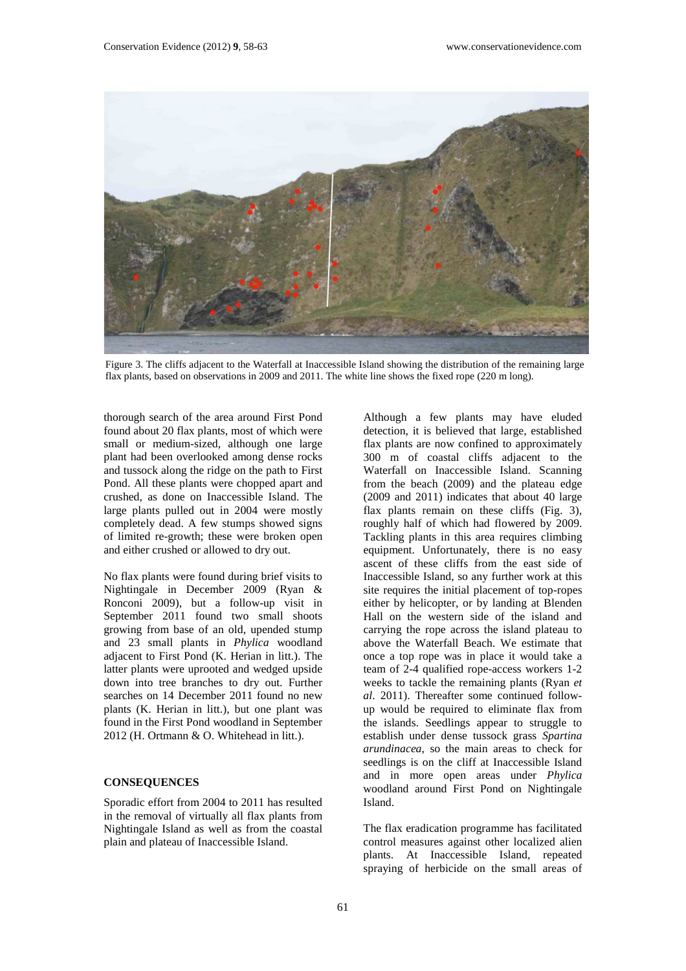

Figure 3. The cliffs adjacent to the Waterfall at Inaccessible Island showing the distribution of the remaining large flax plants, based on observations in 2009 and 2011. The white line shows the fixed rope (220 m long).

thorough search of the area around First Pond found about 20 flax plants, most of which were small or medium-sized, although one large plant had been overlooked among dense rocks and tussock along the ridge on the path to First Pond. All these plants were chopped apart and crushed, as done on Inaccessible Island. The large plants pulled out in 2004 were mostly completely dead. A few stumps showed signs of limited re-growth; these were broken open and either crushed or allowed to dry out.

No flax plants were found during brief visits to Nightingale in December 2009 (Ryan & Ronconi 2009), but a follow-up visit in September 2011 found two small shoots growing from base of an old, upended stump and 23 small plants in *Phylica* woodland adjacent to First Pond (K. Herian in litt.). The latter plants were uprooted and wedged upside down into tree branches to dry out. Further searches on 14 December 2011 found no new plants (K. Herian in litt.), but one plant was found in the First Pond woodland in September 2012 (H. Ortmann & O. Whitehead in litt.).

#### **CONSEQUENCES**

Sporadic effort from 2004 to 2011 has resulted in the removal of virtually all flax plants from Nightingale Island as well as from the coastal plain and plateau of Inaccessible Island.

Although a few plants may have eluded detection, it is believed that large, established flax plants are now confined to approximately 300 m of coastal cliffs adjacent to the Waterfall on Inaccessible Island. Scanning from the beach (2009) and the plateau edge (2009 and 2011) indicates that about 40 large flax plants remain on these cliffs (Fig. 3), roughly half of which had flowered by 2009. Tackling plants in this area requires climbing equipment. Unfortunately, there is no easy ascent of these cliffs from the east side of Inaccessible Island, so any further work at this site requires the initial placement of top-ropes either by helicopter, or by landing at Blenden Hall on the western side of the island and carrying the rope across the island plateau to above the Waterfall Beach. We estimate that once a top rope was in place it would take a team of 2-4 qualified rope-access workers 1-2 weeks to tackle the remaining plants (Ryan *et al*. 2011). Thereafter some continued followup would be required to eliminate flax from the islands. Seedlings appear to struggle to establish under dense tussock grass *Spartina arundinacea*, so the main areas to check for seedlings is on the cliff at Inaccessible Island and in more open areas under *Phylica* woodland around First Pond on Nightingale Island.

The flax eradication programme has facilitated control measures against other localized alien plants. At Inaccessible Island, repeated spraying of herbicide on the small areas of